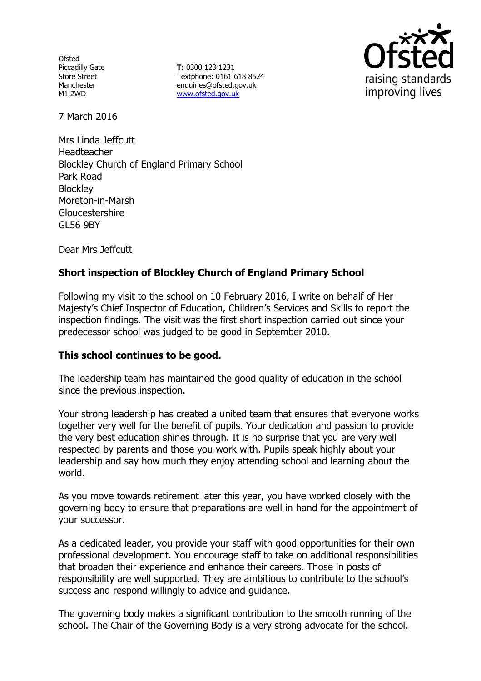**Ofsted** Piccadilly Gate Store Street Manchester M1 2WD

**T:** 0300 123 1231 Textphone: 0161 618 8524 enquiries@ofsted.gov.uk www.ofsted.gov.uk



7 March 2016

Mrs Linda Jeffcutt Headteacher Blockley Church of England Primary School Park Road **Blockley** Moreton-in-Marsh Gloucestershire GL56 9BY

Dear Mrs Jeffcutt

# **Short inspection of Blockley Church of England Primary School**

Following my visit to the school on 10 February 2016, I write on behalf of Her Majesty's Chief Inspector of Education, Children's Services and Skills to report the inspection findings. The visit was the first short inspection carried out since your predecessor school was judged to be good in September 2010.

## **This school continues to be good.**

The leadership team has maintained the good quality of education in the school since the previous inspection.

Your strong leadership has created a united team that ensures that everyone works together very well for the benefit of pupils. Your dedication and passion to provide the very best education shines through. It is no surprise that you are very well respected by parents and those you work with. Pupils speak highly about your leadership and say how much they enjoy attending school and learning about the world.

As you move towards retirement later this year, you have worked closely with the governing body to ensure that preparations are well in hand for the appointment of your successor.

As a dedicated leader, you provide your staff with good opportunities for their own professional development. You encourage staff to take on additional responsibilities that broaden their experience and enhance their careers. Those in posts of responsibility are well supported. They are ambitious to contribute to the school's success and respond willingly to advice and guidance.

The governing body makes a significant contribution to the smooth running of the school. The Chair of the Governing Body is a very strong advocate for the school.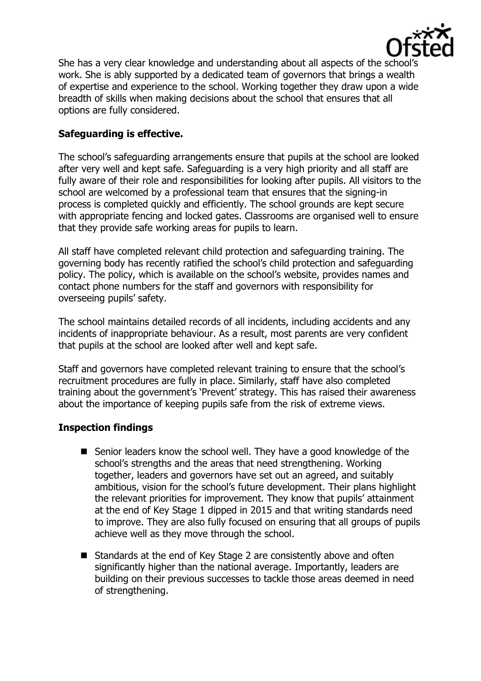

She has a very clear knowledge and understanding about all aspects of the school's work. She is ably supported by a dedicated team of governors that brings a wealth of expertise and experience to the school. Working together they draw upon a wide breadth of skills when making decisions about the school that ensures that all options are fully considered.

# **Safeguarding is effective.**

The school's safeguarding arrangements ensure that pupils at the school are looked after very well and kept safe. Safeguarding is a very high priority and all staff are fully aware of their role and responsibilities for looking after pupils. All visitors to the school are welcomed by a professional team that ensures that the signing-in process is completed quickly and efficiently. The school grounds are kept secure with appropriate fencing and locked gates. Classrooms are organised well to ensure that they provide safe working areas for pupils to learn.

All staff have completed relevant child protection and safeguarding training. The governing body has recently ratified the school's child protection and safeguarding policy. The policy, which is available on the school's website, provides names and contact phone numbers for the staff and governors with responsibility for overseeing pupils' safety.

The school maintains detailed records of all incidents, including accidents and any incidents of inappropriate behaviour. As a result, most parents are very confident that pupils at the school are looked after well and kept safe.

Staff and governors have completed relevant training to ensure that the school's recruitment procedures are fully in place. Similarly, staff have also completed training about the government's 'Prevent' strategy. This has raised their awareness about the importance of keeping pupils safe from the risk of extreme views.

# **Inspection findings**

- Senior leaders know the school well. They have a good knowledge of the school's strengths and the areas that need strengthening. Working together, leaders and governors have set out an agreed, and suitably ambitious, vision for the school's future development. Their plans highlight the relevant priorities for improvement. They know that pupils' attainment at the end of Key Stage 1 dipped in 2015 and that writing standards need to improve. They are also fully focused on ensuring that all groups of pupils achieve well as they move through the school.
- Standards at the end of Key Stage 2 are consistently above and often significantly higher than the national average. Importantly, leaders are building on their previous successes to tackle those areas deemed in need of strengthening.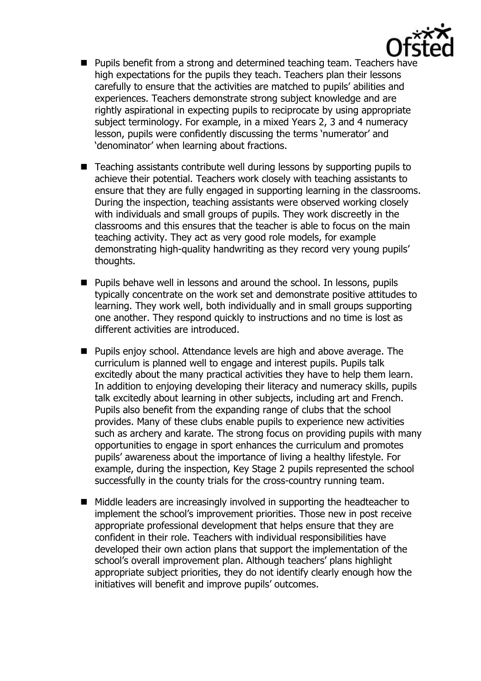

- **Pupils benefit from a strong and determined teaching team. Teachers have** high expectations for the pupils they teach. Teachers plan their lessons carefully to ensure that the activities are matched to pupils' abilities and experiences. Teachers demonstrate strong subject knowledge and are rightly aspirational in expecting pupils to reciprocate by using appropriate subject terminology. For example, in a mixed Years 2, 3 and 4 numeracy lesson, pupils were confidently discussing the terms 'numerator' and 'denominator' when learning about fractions.
- Teaching assistants contribute well during lessons by supporting pupils to achieve their potential. Teachers work closely with teaching assistants to ensure that they are fully engaged in supporting learning in the classrooms. During the inspection, teaching assistants were observed working closely with individuals and small groups of pupils. They work discreetly in the classrooms and this ensures that the teacher is able to focus on the main teaching activity. They act as very good role models, for example demonstrating high-quality handwriting as they record very young pupils' thoughts.
- **Pupils behave well in lessons and around the school. In lessons, pupils** typically concentrate on the work set and demonstrate positive attitudes to learning. They work well, both individually and in small groups supporting one another. They respond quickly to instructions and no time is lost as different activities are introduced.
- **Pupils enjoy school. Attendance levels are high and above average. The** curriculum is planned well to engage and interest pupils. Pupils talk excitedly about the many practical activities they have to help them learn. In addition to enjoying developing their literacy and numeracy skills, pupils talk excitedly about learning in other subjects, including art and French. Pupils also benefit from the expanding range of clubs that the school provides. Many of these clubs enable pupils to experience new activities such as archery and karate. The strong focus on providing pupils with many opportunities to engage in sport enhances the curriculum and promotes pupils' awareness about the importance of living a healthy lifestyle. For example, during the inspection, Key Stage 2 pupils represented the school successfully in the county trials for the cross-country running team.
- $\blacksquare$  Middle leaders are increasingly involved in supporting the headteacher to implement the school's improvement priorities. Those new in post receive appropriate professional development that helps ensure that they are confident in their role. Teachers with individual responsibilities have developed their own action plans that support the implementation of the school's overall improvement plan. Although teachers' plans highlight appropriate subject priorities, they do not identify clearly enough how the initiatives will benefit and improve pupils' outcomes.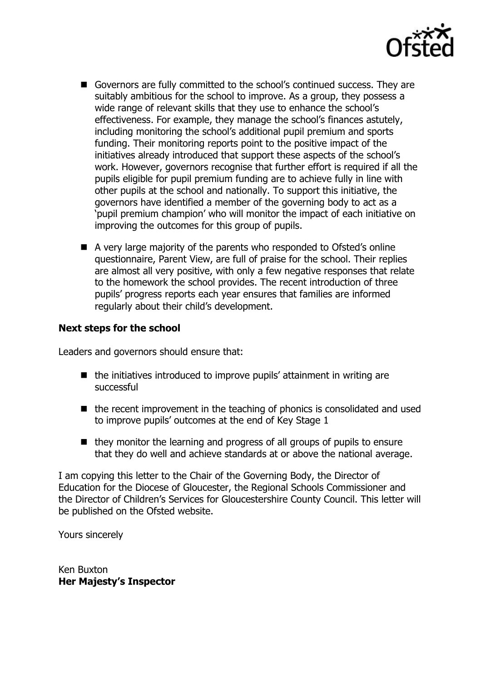

- Governors are fully committed to the school's continued success. They are suitably ambitious for the school to improve. As a group, they possess a wide range of relevant skills that they use to enhance the school's effectiveness. For example, they manage the school's finances astutely, including monitoring the school's additional pupil premium and sports funding. Their monitoring reports point to the positive impact of the initiatives already introduced that support these aspects of the school's work. However, governors recognise that further effort is required if all the pupils eligible for pupil premium funding are to achieve fully in line with other pupils at the school and nationally. To support this initiative, the governors have identified a member of the governing body to act as a 'pupil premium champion' who will monitor the impact of each initiative on improving the outcomes for this group of pupils.
- A very large majority of the parents who responded to Ofsted's online questionnaire, Parent View, are full of praise for the school. Their replies are almost all very positive, with only a few negative responses that relate to the homework the school provides. The recent introduction of three pupils' progress reports each year ensures that families are informed regularly about their child's development.

## **Next steps for the school**

Leaders and governors should ensure that:

- $\blacksquare$  the initiatives introduced to improve pupils' attainment in writing are successful
- $\blacksquare$  the recent improvement in the teaching of phonics is consolidated and used to improve pupils' outcomes at the end of Key Stage 1
- they monitor the learning and progress of all groups of pupils to ensure that they do well and achieve standards at or above the national average.

I am copying this letter to the Chair of the Governing Body, the Director of Education for the Diocese of Gloucester, the Regional Schools Commissioner and the Director of Children's Services for Gloucestershire County Council. This letter will be published on the Ofsted website.

Yours sincerely

Ken Buxton **Her Majesty's Inspector**